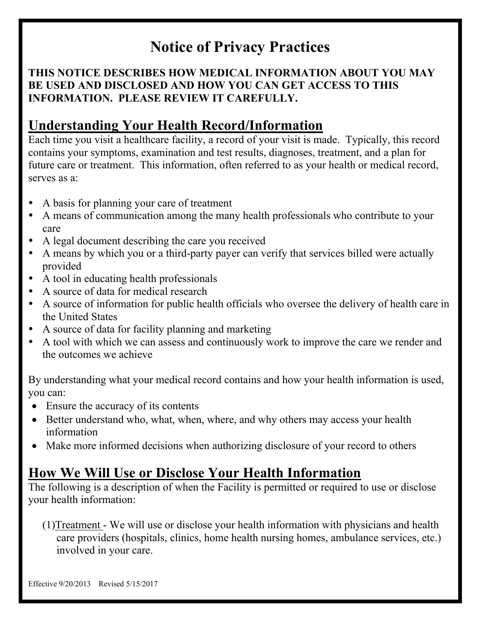# **Notice of Privacy Practices**

#### **THIS NOTICE DESCRIBES HOW MEDICAL INFORMATION ABOUT YOU MAY BE USED AND DISCLOSED AND HOW YOU CAN GET ACCESS TO THIS INFORMATION. PLEASE REVIEW IT CAREFULLY.**

### **Understanding Your Health Record/Information**

Each time you visit a healthcare facility, a record of your visit is made. Typically, this record contains your symptoms, examination and test results, diagnoses, treatment, and a plan for future care or treatment. This information, often referred to as your health or medical record, serves as a:

- A basis for planning your care of treatment
- A means of communication among the many health professionals who contribute to your care
- A legal document describing the care you received
- A means by which you or a third-party payer can verify that services billed were actually provided
- A tool in educating health professionals
- A source of data for medical research
- A source of information for public health officials who oversee the delivery of health care in the United States
- A source of data for facility planning and marketing
- A tool with which we can assess and continuously work to improve the care we render and the outcomes we achieve

By understanding what your medical record contains and how your health information is used, you can:

- Ensure the accuracy of its contents
- Better understand who, what, when, where, and why others may access your health information
- Make more informed decisions when authorizing disclosure of your record to others

## **How We Will Use or Disclose Your Health Information**

The following is a description of when the Facility is permitted or required to use or disclose your health information:

(1)Treatment - We will use or disclose your health information with physicians and health care providers (hospitals, clinics, home health nursing homes, ambulance services, etc.) involved in your care.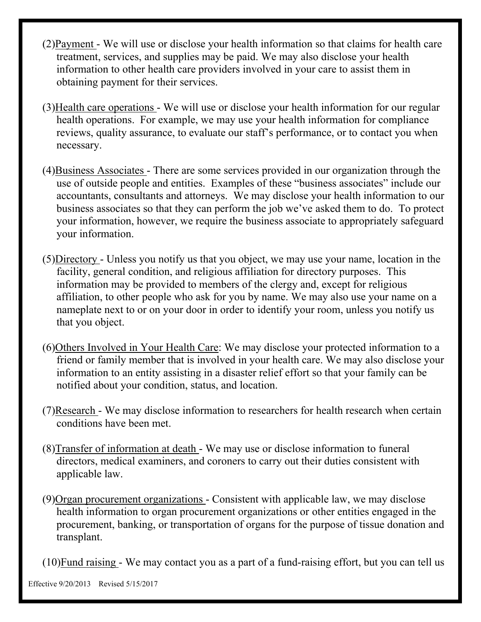- (2)Payment We will use or disclose your health information so that claims for health care treatment, services, and supplies may be paid. We may also disclose your health information to other health care providers involved in your care to assist them in obtaining payment for their services.
- (3)Health care operations We will use or disclose your health information for our regular health operations. For example, we may use your health information for compliance reviews, quality assurance, to evaluate our staff's performance, or to contact you when necessary.
- (4)Business Associates There are some services provided in our organization through the use of outside people and entities. Examples of these "business associates" include our accountants, consultants and attorneys. We may disclose your health information to our business associates so that they can perform the job we've asked them to do. To protect your information, however, we require the business associate to appropriately safeguard your information.
- (5)Directory Unless you notify us that you object, we may use your name, location in the facility, general condition, and religious affiliation for directory purposes. This information may be provided to members of the clergy and, except for religious affiliation, to other people who ask for you by name. We may also use your name on a nameplate next to or on your door in order to identify your room, unless you notify us that you object.
- (6)Others Involved in Your Health Care: We may disclose your protected information to a friend or family member that is involved in your health care. We may also disclose your information to an entity assisting in a disaster relief effort so that your family can be notified about your condition, status, and location.
- (7)Research We may disclose information to researchers for health research when certain conditions have been met.
- (8)Transfer of information at death We may use or disclose information to funeral directors, medical examiners, and coroners to carry out their duties consistent with applicable law.
- (9)Organ procurement organizations Consistent with applicable law, we may disclose health information to organ procurement organizations or other entities engaged in the procurement, banking, or transportation of organs for the purpose of tissue donation and transplant.

(10)Fund raising - We may contact you as a part of a fund-raising effort, but you can tell us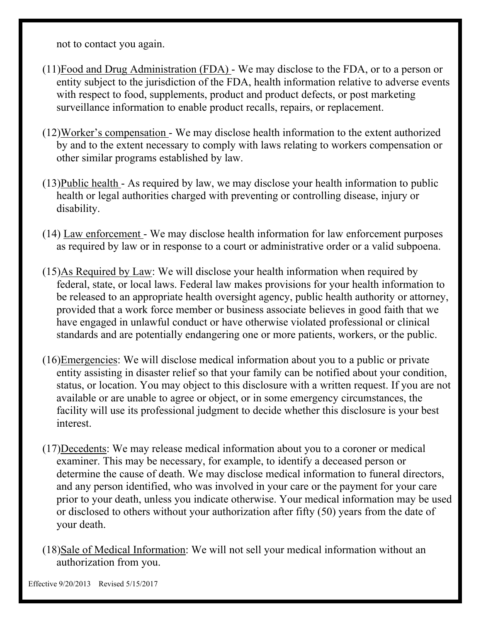not to contact you again.

- (11)Food and Drug Administration (FDA) We may disclose to the FDA, or to a person or entity subject to the jurisdiction of the FDA, health information relative to adverse events with respect to food, supplements, product and product defects, or post marketing surveillance information to enable product recalls, repairs, or replacement.
- (12)Worker's compensation We may disclose health information to the extent authorized by and to the extent necessary to comply with laws relating to workers compensation or other similar programs established by law.
- (13)Public health As required by law, we may disclose your health information to public health or legal authorities charged with preventing or controlling disease, injury or disability.
- (14) Law enforcement We may disclose health information for law enforcement purposes as required by law or in response to a court or administrative order or a valid subpoena.
- (15)As Required by Law: We will disclose your health information when required by federal, state, or local laws. Federal law makes provisions for your health information to be released to an appropriate health oversight agency, public health authority or attorney, provided that a work force member or business associate believes in good faith that we have engaged in unlawful conduct or have otherwise violated professional or clinical standards and are potentially endangering one or more patients, workers, or the public.
- (16)Emergencies: We will disclose medical information about you to a public or private entity assisting in disaster relief so that your family can be notified about your condition, status, or location. You may object to this disclosure with a written request. If you are not available or are unable to agree or object, or in some emergency circumstances, the facility will use its professional judgment to decide whether this disclosure is your best interest.
- (17)Decedents: We may release medical information about you to a coroner or medical examiner. This may be necessary, for example, to identify a deceased person or determine the cause of death. We may disclose medical information to funeral directors, and any person identified, who was involved in your care or the payment for your care prior to your death, unless you indicate otherwise. Your medical information may be used or disclosed to others without your authorization after fifty (50) years from the date of your death.
- (18)Sale of Medical Information: We will not sell your medical information without an authorization from you.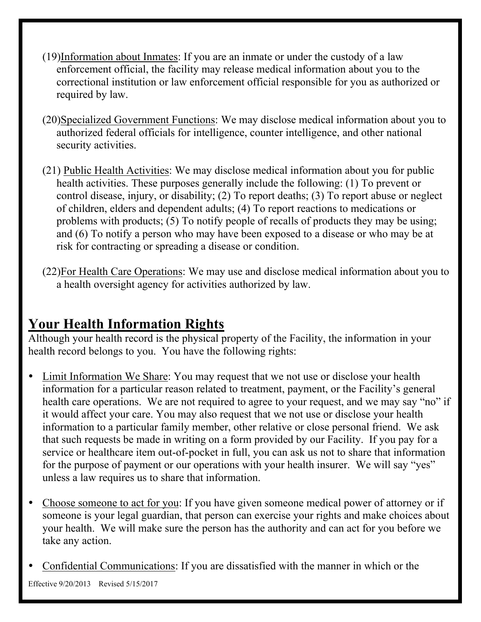- (19)Information about Inmates: If you are an inmate or under the custody of a law enforcement official, the facility may release medical information about you to the correctional institution or law enforcement official responsible for you as authorized or required by law.
- (20)Specialized Government Functions: We may disclose medical information about you to authorized federal officials for intelligence, counter intelligence, and other national security activities.
- (21) Public Health Activities: We may disclose medical information about you for public health activities. These purposes generally include the following: (1) To prevent or control disease, injury, or disability; (2) To report deaths; (3) To report abuse or neglect of children, elders and dependent adults; (4) To report reactions to medications or problems with products; (5) To notify people of recalls of products they may be using; and (6) To notify a person who may have been exposed to a disease or who may be at risk for contracting or spreading a disease or condition.
- (22)For Health Care Operations: We may use and disclose medical information about you to a health oversight agency for activities authorized by law.

#### **Your Health Information Rights**

Although your health record is the physical property of the Facility, the information in your health record belongs to you. You have the following rights:

- Limit Information We Share: You may request that we not use or disclose your health information for a particular reason related to treatment, payment, or the Facility's general health care operations. We are not required to agree to your request, and we may say "no" if it would affect your care. You may also request that we not use or disclose your health information to a particular family member, other relative or close personal friend. We ask that such requests be made in writing on a form provided by our Facility. If you pay for a service or healthcare item out-of-pocket in full, you can ask us not to share that information for the purpose of payment or our operations with your health insurer. We will say "yes" unless a law requires us to share that information.
- Choose someone to act for you: If you have given someone medical power of attorney or if someone is your legal guardian, that person can exercise your rights and make choices about your health. We will make sure the person has the authority and can act for you before we take any action.
- Confidential Communications: If you are dissatisfied with the manner in which or the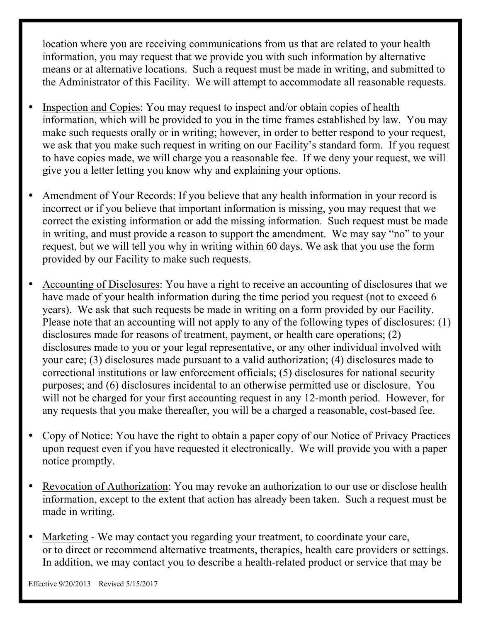location where you are receiving communications from us that are related to your health information, you may request that we provide you with such information by alternative means or at alternative locations. Such a request must be made in writing, and submitted to the Administrator of this Facility. We will attempt to accommodate all reasonable requests.

- Inspection and Copies: You may request to inspect and/or obtain copies of health information, which will be provided to you in the time frames established by law. You may make such requests orally or in writing; however, in order to better respond to your request, we ask that you make such request in writing on our Facility's standard form. If you request to have copies made, we will charge you a reasonable fee. If we deny your request, we will give you a letter letting you know why and explaining your options.
- Amendment of Your Records: If you believe that any health information in your record is incorrect or if you believe that important information is missing, you may request that we correct the existing information or add the missing information. Such request must be made in writing, and must provide a reason to support the amendment. We may say "no" to your request, but we will tell you why in writing within 60 days. We ask that you use the form provided by our Facility to make such requests.
- Accounting of Disclosures: You have a right to receive an accounting of disclosures that we have made of your health information during the time period you request (not to exceed 6 years). We ask that such requests be made in writing on a form provided by our Facility. Please note that an accounting will not apply to any of the following types of disclosures: (1) disclosures made for reasons of treatment, payment, or health care operations; (2) disclosures made to you or your legal representative, or any other individual involved with your care; (3) disclosures made pursuant to a valid authorization; (4) disclosures made to correctional institutions or law enforcement officials; (5) disclosures for national security purposes; and (6) disclosures incidental to an otherwise permitted use or disclosure. You will not be charged for your first accounting request in any 12-month period. However, for any requests that you make thereafter, you will be a charged a reasonable, cost-based fee.
- Copy of Notice: You have the right to obtain a paper copy of our Notice of Privacy Practices upon request even if you have requested it electronically. We will provide you with a paper notice promptly.
- Revocation of Authorization: You may revoke an authorization to our use or disclose health information, except to the extent that action has already been taken. Such a request must be made in writing.
- Marketing We may contact you regarding your treatment, to coordinate your care, or to direct or recommend alternative treatments, therapies, health care providers or settings. In addition, we may contact you to describe a health-related product or service that may be